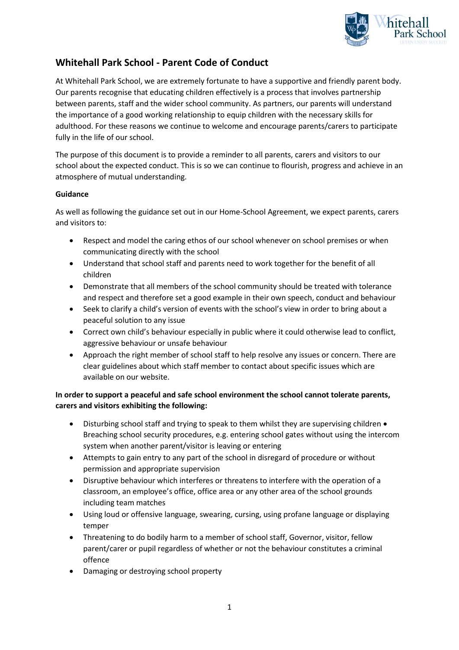

## **Whitehall Park School - Parent Code of Conduct**

At Whitehall Park School, we are extremely fortunate to have a supportive and friendly parent body. Our parents recognise that educating children effectively is a process that involves partnership between parents, staff and the wider school community. As partners, our parents will understand the importance of a good working relationship to equip children with the necessary skills for adulthood. For these reasons we continue to welcome and encourage parents/carers to participate fully in the life of our school.

The purpose of this document is to provide a reminder to all parents, carers and visitors to our school about the expected conduct. This is so we can continue to flourish, progress and achieve in an atmosphere of mutual understanding.

## **Guidance**

As well as following the guidance set out in our Home-School Agreement, we expect parents, carers and visitors to:

- Respect and model the caring ethos of our school whenever on school premises or when communicating directly with the school
- Understand that school staff and parents need to work together for the benefit of all children
- Demonstrate that all members of the school community should be treated with tolerance and respect and therefore set a good example in their own speech, conduct and behaviour
- Seek to clarify a child's version of events with the school's view in order to bring about a peaceful solution to any issue
- Correct own child's behaviour especially in public where it could otherwise lead to conflict, aggressive behaviour or unsafe behaviour
- Approach the right member of school staff to help resolve any issues or concern. There are clear guidelines about which staff member to contact about specific issues which are available on our website.

## **In order to support a peaceful and safe school environment the school cannot tolerate parents, carers and visitors exhibiting the following:**

- Disturbing school staff and trying to speak to them whilst they are supervising children Breaching school security procedures, e.g. entering school gates without using the intercom system when another parent/visitor is leaving or entering
- Attempts to gain entry to any part of the school in disregard of procedure or without permission and appropriate supervision
- Disruptive behaviour which interferes or threatens to interfere with the operation of a classroom, an employee's office, office area or any other area of the school grounds including team matches
- Using loud or offensive language, swearing, cursing, using profane language or displaying temper
- Threatening to do bodily harm to a member of school staff, Governor, visitor, fellow parent/carer or pupil regardless of whether or not the behaviour constitutes a criminal offence
- Damaging or destroying school property